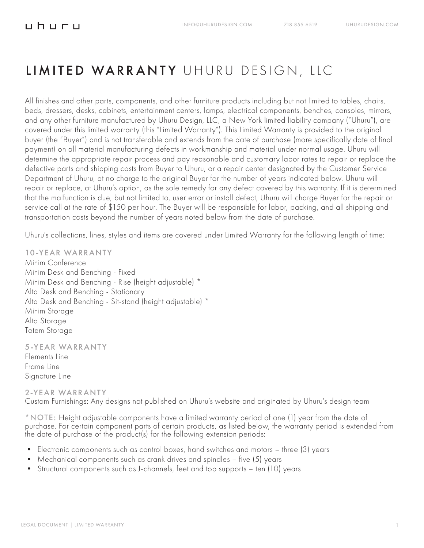# LIMITED WARRANTY UHURU DESIGN, LLC

All finishes and other parts, components, and other furniture products including but not limited to tables, chairs, beds, dressers, desks, cabinets, entertainment centers, lamps, electrical components, benches, consoles, mirrors, and any other furniture manufactured by Uhuru Design, LLC, a New York limited liability company ("Uhuru"), are covered under this limited warranty (this "Limited Warranty"). This Limited Warranty is provided to the original buyer (the "Buyer") and is not transferable and extends from the date of purchase (more specifically date of final payment) on all material manufacturing defects in workmanship and material under normal usage. Uhuru will determine the appropriate repair process and pay reasonable and customary labor rates to repair or replace the defective parts and shipping costs from Buyer to Uhuru, or a repair center designated by the Customer Service Department of Uhuru, at no charge to the original Buyer for the number of years indicated below. Uhuru will repair or replace, at Uhuru's option, as the sole remedy for any defect covered by this warranty. If it is determined that the malfunction is due, but not limited to, user error or install defect, Uhuru will charge Buyer for the repair or service call at the rate of \$150 per hour. The Buyer will be responsible for labor, packing, and all shipping and transportation costs beyond the number of years noted below from the date of purchase.

Uhuru's collections, lines, styles and items are covered under Limited Warranty for the following length of time:

10-YEAR WARRANTY Minim Conference Minim Desk and Benching - Fixed Minim Desk and Benching - Rise (height adjustable) \* Alta Desk and Benching - Stationary Alta Desk and Benching - Sit-stand (height adjustable) \* Minim Storage Alta Storage Totem Storage

5-YEAR WARRANTY

Elements Line Frame Line Signature Line

2-YEAR WARRANTY Custom Furnishings: Any designs not published on Uhuru's website and originated by Uhuru's design team

\*NOTE: Height adjustable components have a limited warranty period of one (1) year from the date of purchase. For certain component parts of certain products, as listed below, the warranty period is extended from the date of purchase of the product(s) for the following extension periods:

- Electronic components such as control boxes, hand switches and motors three (3) years
- Mechanical components such as crank drives and spindles five (5) years
- Structural components such as J-channels, feet and top supports ten (10) years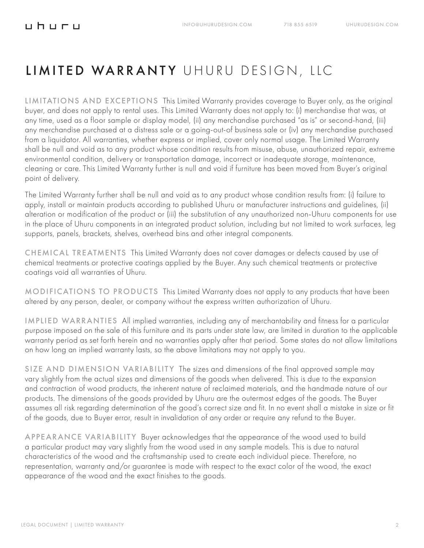### LIMITED WARRANTY UHURU DESIGN, LLC

LIMITATIONS AND EXCEPTIONS This Limited Warranty provides coverage to Buyer only, as the original buyer, and does not apply to rental uses. This Limited Warranty does not apply to: (i) merchandise that was, at any time, used as a floor sample or display model, (ii) any merchandise purchased "as is" or second-hand, (iii) any merchandise purchased at a distress sale or a going-out-of business sale or (iv) any merchandise purchased from a liquidator. All warranties, whether express or implied, cover only normal usage. The Limited Warranty shall be null and void as to any product whose condition results from misuse, abuse, unauthorized repair, extreme environmental condition, delivery or transportation damage, incorrect or inadequate storage, maintenance, cleaning or care. This Limited Warranty further is null and void if furniture has been moved from Buyer's original point of delivery.

The Limited Warranty further shall be null and void as to any product whose condition results from: (i) failure to apply, install or maintain products according to published Uhuru or manufacturer instructions and guidelines, (ii) alteration or modification of the product or (iii) the substitution of any unauthorized non-Uhuru components for use in the place of Uhuru components in an integrated product solution, including but not limited to work surfaces, leg supports, panels, brackets, shelves, overhead bins and other integral components.

CHEMICAL TREATMENTS This Limited Warranty does not cover damages or defects caused by use of chemical treatments or protective coatings applied by the Buyer. Any such chemical treatments or protective coatings void all warranties of Uhuru.

MODIFICATIONS TO PRODUCTS This Limited Warranty does not apply to any products that have been altered by any person, dealer, or company without the express written authorization of Uhuru.

IMPLIED WARRANTIES All implied warranties, including any of merchantability and fitness for a particular purpose imposed on the sale of this furniture and its parts under state law, are limited in duration to the applicable warranty period as set forth herein and no warranties apply after that period. Some states do not allow limitations on how long an implied warranty lasts, so the above limitations may not apply to you.

SIZE AND DIMENSION VARIABILITY The sizes and dimensions of the final approved sample may vary slightly from the actual sizes and dimensions of the goods when delivered. This is due to the expansion and contraction of wood products, the inherent nature of reclaimed materials, and the handmade nature of our products. The dimensions of the goods provided by Uhuru are the outermost edges of the goods. The Buyer assumes all risk regarding determination of the good's correct size and fit. In no event shall a mistake in size or fit of the goods, due to Buyer error, result in invalidation of any order or require any refund to the Buyer.

APPEARANCE VARIABILITY Buyer acknowledges that the appearance of the wood used to build a particular product may vary slightly from the wood used in any sample models. This is due to natural characteristics of the wood and the craftsmanship used to create each individual piece. Therefore, no representation, warranty and/or guarantee is made with respect to the exact color of the wood, the exact appearance of the wood and the exact finishes to the goods.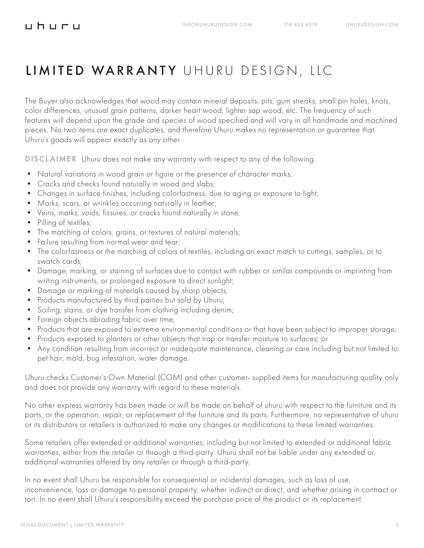### <u>uhuru</u>

### LIMITED WARRANTY UHURU DESIGN, LLC

The Buyer also acknowledges that wood may contain mineral deposits, pits, gum streaks, small pin holes, knots, color differences, unusual grain patterns, darker heart wood, lighter sap wood, etc. The frequency of such features will depend upon the grade and species of wood specified and will vary in all handmade and machined pieces. No two items are exact duplicates, and therefore Uhuru makes no representation or guarantee that Uhuru's goods will appear exactly as any other.

DISCLAIMER Uhuru does not make any warranty with respect to any of the following:

- Natural variations in wood grain or figure or the presence of character marks;
- Cracks and checks found naturally in wood and slabs;
- Changes in surface finishes, including colorfastness, due to aging or exposure to light;
- Marks, scars, or wrinkles occurring naturally in leather;
- Veins, marks, voids, fissures, or cracks found naturally in stone;
- Pilling of textiles;
- The matching of colors, grains, or textures of natural materials;
- Failure resulting from normal wear and tear;
- The colorfastness or the matching of colors of textiles, including an exact match to cuttings, samples, or to swatch cards;
- Damage, marking, or staining of surfaces due to contact with rubber or similar compounds or imprinting from writing instruments, or prolonged exposure to direct sunlight;
- Damage or marking of materials caused by sharp objects;
- Products manufactured by third parties but sold by Uhuru;
- Soiling, stains, or dye transfer from clothing including denim;
- Foreign objects abrading fabric over time;
- Products that are exposed to extreme environmental conditions or that have been subject to improper storage;
- Products exposed to planters or other objects that trap or transfer moisture to surfaces; or
- Any condition resulting from incorrect or inadequate maintenance, cleaning or care including but not limited to pet hair, mold, bug infestation, water damage.

Uhuru checks Customer's Own Material (COM) and other customer- supplied items for manufacturing quality only and does not provide any warranty with regard to these materials.

No other express warranty has been made or will be made on behalf of uhuru with respect to the furniture and its parts, or the operation, repair, or replacement of the furniture and its parts. Furthermore, no representative of uhuru or its distributors or retailers is authorized to make any changes or modifications to these limited warranties.

Some retailers offer extended or additional warranties, including but not limited to extended or additional fabric warranties, either from the retailer or through a third-party. Uhuru shall not be liable under any extended or additional warranties offered by any retailer or through a third-party.

In no event shall Uhuru be responsible for consequential or incidental damages, such as loss of use, inconvenience, loss or damage to personal property, whether indirect or direct, and whether arising in contract or tort. In no event shall Uhuru's responsibility exceed the purchase price of the product or its replacement.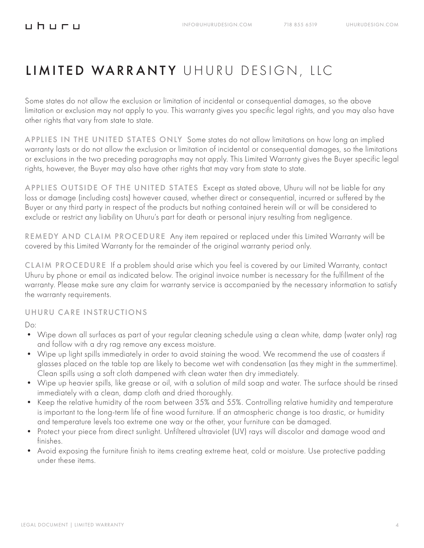### <u>uhuru</u>

### LIMITED WARRANTY UHURU DESIGN, LLC

Some states do not allow the exclusion or limitation of incidental or consequential damages, so the above limitation or exclusion may not apply to you. This warranty gives you specific legal rights, and you may also have other rights that vary from state to state.

APPLIES IN THE UNITED STATES ONLY Some states do not allow limitations on how long an implied warranty lasts or do not allow the exclusion or limitation of incidental or consequential damages, so the limitations or exclusions in the two preceding paragraphs may not apply. This Limited Warranty gives the Buyer specific legal rights, however, the Buyer may also have other rights that may vary from state to state.

APPLIES OUTSIDE OF THE UNITED STATES Except as stated above, Uhuru will not be liable for any loss or damage (including costs) however caused, whether direct or consequential, incurred or suffered by the Buyer or any third party in respect of the products but nothing contained herein will or will be considered to exclude or restrict any liability on Uhuru's part for death or personal injury resulting from negligence.

REMEDY AND CLAIM PROCEDURE Any item repaired or replaced under this Limited Warranty will be covered by this Limited Warranty for the remainder of the original warranty period only.

CLAIM PROCEDURE If a problem should arise which you feel is covered by our Limited Warranty, contact Uhuru by phone or email as indicated below. The original invoice number is necessary for the fulfillment of the warranty. Please make sure any claim for warranty service is accompanied by the necessary information to satisfy the warranty requirements.

#### UHURU CARE INSTRUCTIONS

 $D^{\Omega}$ 

- Wipe down all surfaces as part of your regular cleaning schedule using a clean white, damp (water only) rag and follow with a dry rag remove any excess moisture.
- Wipe up light spills immediately in order to avoid staining the wood. We recommend the use of coasters if glasses placed on the table top are likely to become wet with condensation (as they might in the summertime). Clean spills using a soft cloth dampened with clean water then dry immediately.
- Wipe up heavier spills, like grease or oil, with a solution of mild soap and water. The surface should be rinsed immediately with a clean, damp cloth and dried thoroughly.
- Keep the relative humidity of the room between 35% and 55%. Controlling relative humidity and temperature is important to the long-term life of fine wood furniture. If an atmospheric change is too drastic, or humidity and temperature levels too extreme one way or the other, your furniture can be damaged.
- Protect your piece from direct sunlight. Unfiltered ultraviolet (UV) rays will discolor and damage wood and finishes.
- Avoid exposing the furniture finish to items creating extreme heat, cold or moisture. Use protective padding under these items.